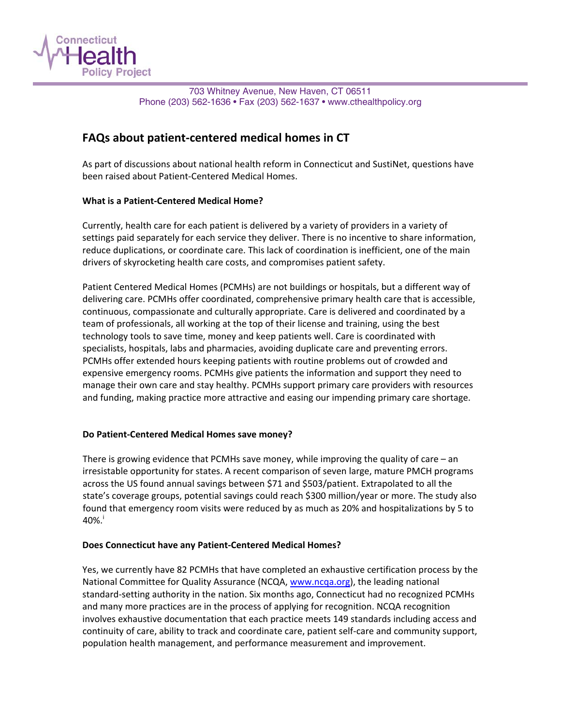

703 Whitney Avenue, New Haven, CT 06511 Phone (203) 562-1636 • Fax (203) 562-1637 • www.cthealthpolicy.org

# **FAQs about patient‐centered medical homes in CT**

As part of discussions about national health reform in Connecticut and SustiNet, questions have been raised about Patient‐Centered Medical Homes.

## **What is a Patient‐Centered Medical Home?**

Currently, health care for each patient is delivered by a variety of providers in a variety of settings paid separately for each service they deliver. There is no incentive to share information, reduce duplications, or coordinate care. This lack of coordination is inefficient, one of the main drivers of skyrocketing health care costs, and compromises patient safety.

Patient Centered Medical Homes (PCMHs) are not buildings or hospitals, but a different way of delivering care. PCMHs offer coordinated, comprehensive primary health care that is accessible, continuous, compassionate and culturally appropriate. Care is delivered and coordinated by a team of professionals, all working at the top of their license and training, using the best technology tools to save time, money and keep patients well. Care is coordinated with specialists, hospitals, labs and pharmacies, avoiding duplicate care and preventing errors. PCMHs offer extended hours keeping patients with routine problems out of crowded and expensive emergency rooms. PCMHs give patients the information and support they need to manage their own care and stay healthy. PCMHs support primary care providers with resources and funding, making practice more attractive and easing our impending primary care shortage.

## **Do Patient‐Centered Medical Homes save money?**

There is growing evidence that PCMHs save money, while improving the quality of care – an irresistable opportunity for states. A recent comparison of seven large, mature PMCH programs across the US found annual savings between \$71 and \$503/patient. Extrapolated to all the state's coverage groups, potential savings could reach \$300 million/year or more. The study also found that emergency room visits were reduced by as much as 20% and hospitalizations by 5 to  $40\%$ .

#### **Does Connecticut have any Patient‐Centered Medical Homes?**

Yes, we currently have 82 PCMHs that have completed an exhaustive certification process by the National Committee for Quality Assurance (NCQA, [www.ncqa.org](http://www.ncqa.org/)), the leading national standard‐setting authority in the nation. Six months ago, Connecticut had no recognized PCMHs and many more practices are in the process of applying for recognition. NCQA recognition involves exhaustive documentation that each practice meets 149 standards including access and continuity of care, ability to track and coordinate care, patient self‐care and community support, population health management, and performance measurement and improvement.